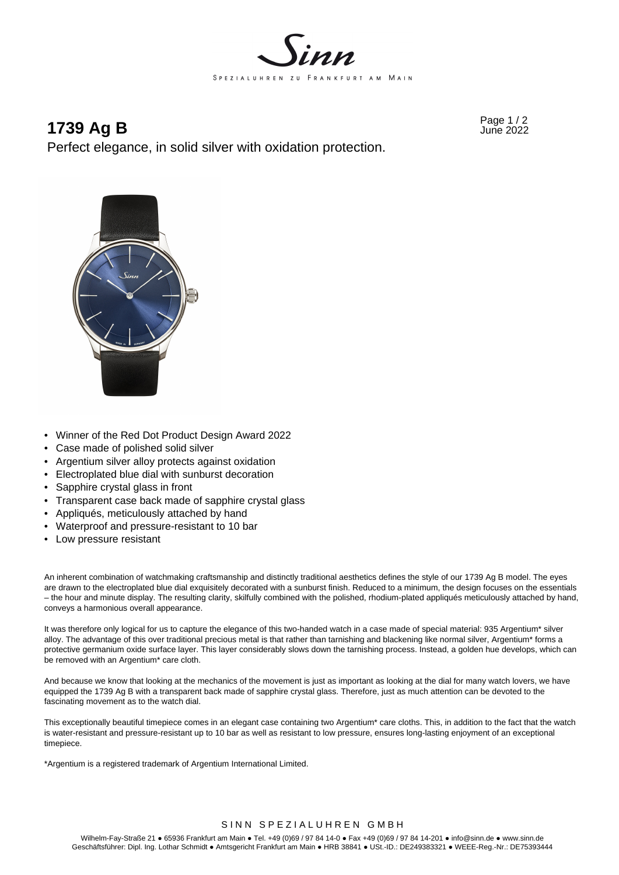

# **1739 Ag B**  $_{\text{June 2022}}$

Perfect elegance, in solid silver with oxidation protection.



- Winner of the Red Dot Product Design Award 2022
- Case made of polished solid silver
- Argentium silver alloy protects against oxidation
- Electroplated blue dial with sunburst decoration
- Sapphire crystal glass in front
- Transparent case back made of sapphire crystal glass
- Appliqués, meticulously attached by hand
- Waterproof and pressure-resistant to 10 bar
- Low pressure resistant

An inherent combination of watchmaking craftsmanship and distinctly traditional aesthetics defines the style of our 1739 Ag B model. The eyes are drawn to the electroplated blue dial exquisitely decorated with a sunburst finish. Reduced to a minimum, the design focuses on the essentials – the hour and minute display. The resulting clarity, skilfully combined with the polished, rhodium-plated appliqués meticulously attached by hand, conveys a harmonious overall appearance.

It was therefore only logical for us to capture the elegance of this two-handed watch in a case made of special material: 935 Argentium\* silver alloy. The advantage of this over traditional precious metal is that rather than tarnishing and blackening like normal silver. Argentium\* forms a protective germanium oxide surface layer. This layer considerably slows down the tarnishing process. Instead, a golden hue develops, which can be removed with an Argentium\* care cloth.

And because we know that looking at the mechanics of the movement is just as important as looking at the dial for many watch lovers, we have equipped the 1739 Ag B with a transparent back made of sapphire crystal glass. Therefore, just as much attention can be devoted to the fascinating movement as to the watch dial.

This exceptionally beautiful timepiece comes in an elegant case containing two Argentium\* care cloths. This, in addition to the fact that the watch is water-resistant and pressure-resistant up to 10 bar as well as resistant to low pressure, ensures long-lasting enjoyment of an exceptional timepiece.

\*Argentium is a registered trademark of Argentium International Limited.